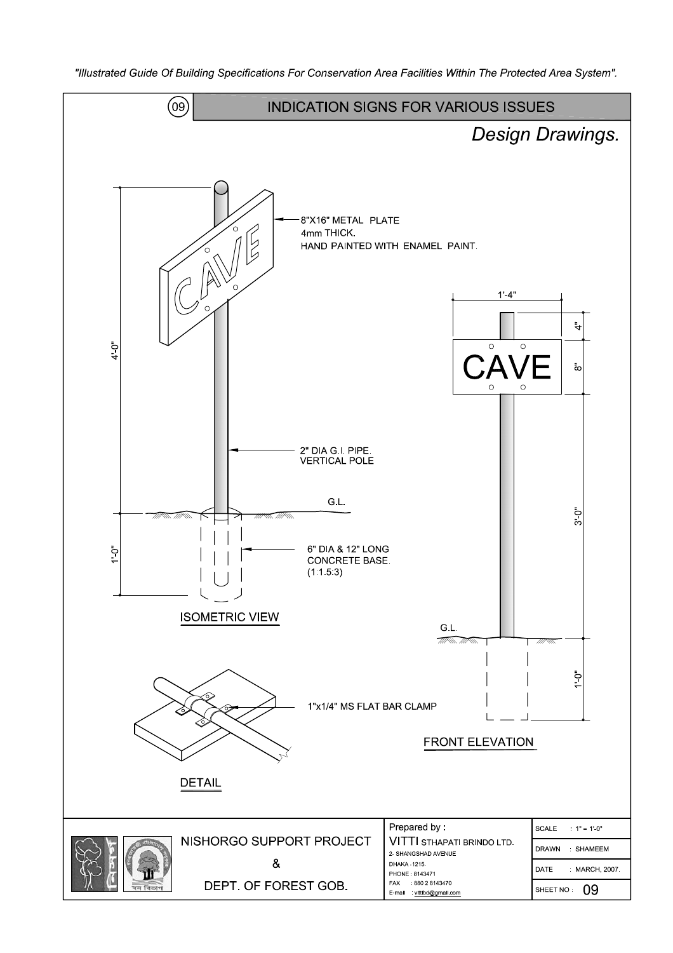

"Illustrated Guide Of Building Specifications For Conservation Area Facilities Within The Protected Area System".